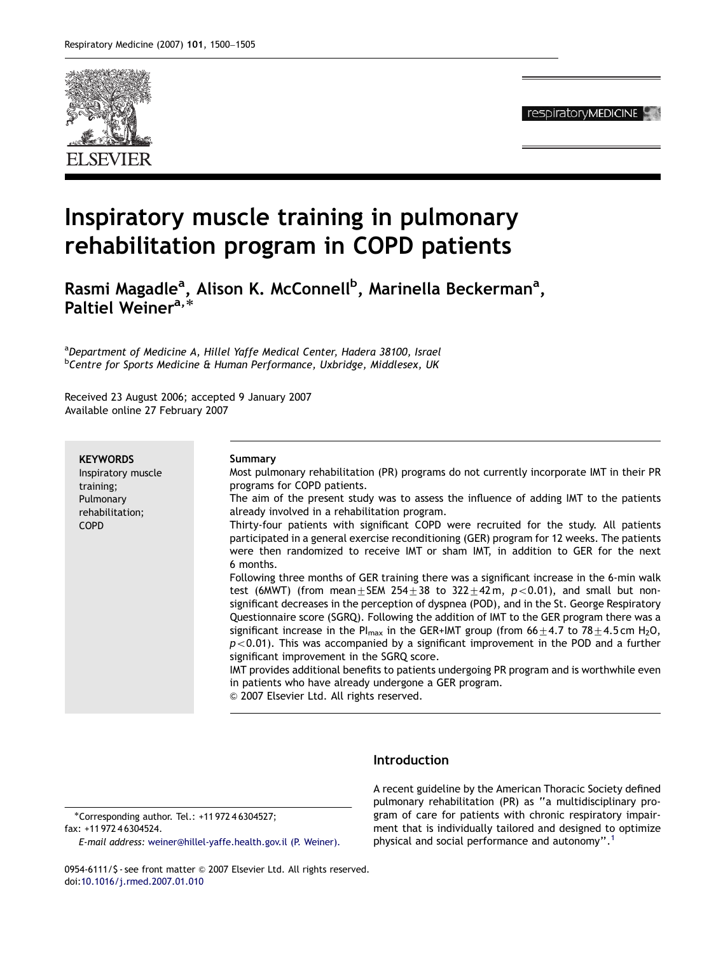

respiratoryMEDICINE

# Inspiratory muscle training in pulmonary rehabilitation program in COPD patients

Rasmi Magadle<sup>a</sup>, Alison K. McConnell<sup>b</sup>, Marinella Beckerman<sup>a</sup>, nasim magaale ,<br>Paltiel Weiner<sup>a,\*</sup>

<sup>a</sup>Department of Medicine A, Hillel Yaffe Medical Center, Hadera 38100, Israel <sup>b</sup>Centre for Sports Medicine & Human Performance, Uxbridge, Middlesex, UK

Received 23 August 2006; accepted 9 January 2007 Available online 27 February 2007

| <b>KEYWORDS</b><br>Inspiratory muscle<br>training;<br>Pulmonary<br>rehabilitation;<br><b>COPD</b> | Summary<br>Most pulmonary rehabilitation (PR) programs do not currently incorporate IMT in their PR<br>programs for COPD patients.<br>The aim of the present study was to assess the influence of adding IMT to the patients<br>already involved in a rehabilitation program.<br>Thirty-four patients with significant COPD were recruited for the study. All patients<br>participated in a general exercise reconditioning (GER) program for 12 weeks. The patients<br>were then randomized to receive IMT or sham IMT, in addition to GER for the next<br>6 months.<br>Following three months of GER training there was a significant increase in the 6-min walk<br>test (6MWT) (from mean $\pm$ SEM 254 $\pm$ 38 to 322 $\pm$ 42m, p<0.01), and small but non-<br>significant decreases in the perception of dyspnea (POD), and in the St. George Respiratory |
|---------------------------------------------------------------------------------------------------|------------------------------------------------------------------------------------------------------------------------------------------------------------------------------------------------------------------------------------------------------------------------------------------------------------------------------------------------------------------------------------------------------------------------------------------------------------------------------------------------------------------------------------------------------------------------------------------------------------------------------------------------------------------------------------------------------------------------------------------------------------------------------------------------------------------------------------------------------------------|
|                                                                                                   | Questionnaire score (SGRQ). Following the addition of IMT to the GER program there was a<br>significant increase in the Pl <sub>max</sub> in the GER+IMT group (from $66 \pm 4.7$ to 78 $\pm 4.5$ cm H <sub>2</sub> O,<br>$p$ < 0.01). This was accompanied by a significant improvement in the POD and a further<br>significant improvement in the SGRQ score.<br>IMT provides additional benefits to patients undergoing PR program and is worthwhile even<br>in patients who have already undergone a GER program.<br>© 2007 Elsevier Ltd. All rights reserved.                                                                                                                                                                                                                                                                                               |

# Introduction

-Corresponding author. Tel.: +11 972 4 6304527; fax: +11 972 4 6304524.

E-mail address: [weiner@hillel-yaffe.health.gov.il \(P. Weiner\).](mailto:weiner@hillel-yaffe.health.gov.il)

A recent guideline by the American Thoracic Society defined pulmonary rehabilitation (PR) as ''a multidisciplinary program of care for patients with chronic respiratory impairment that is individually tailored and designed to optimize physical and social performance and autonomy''.[1](#page-4-0)

0954-6111/\$ - see front matter @ 2007 Elsevier Ltd. All rights reserved. doi:[10.1016/j.rmed.2007.01.010](dx.doi.org/10.1016/j.rmed.2007.01.010)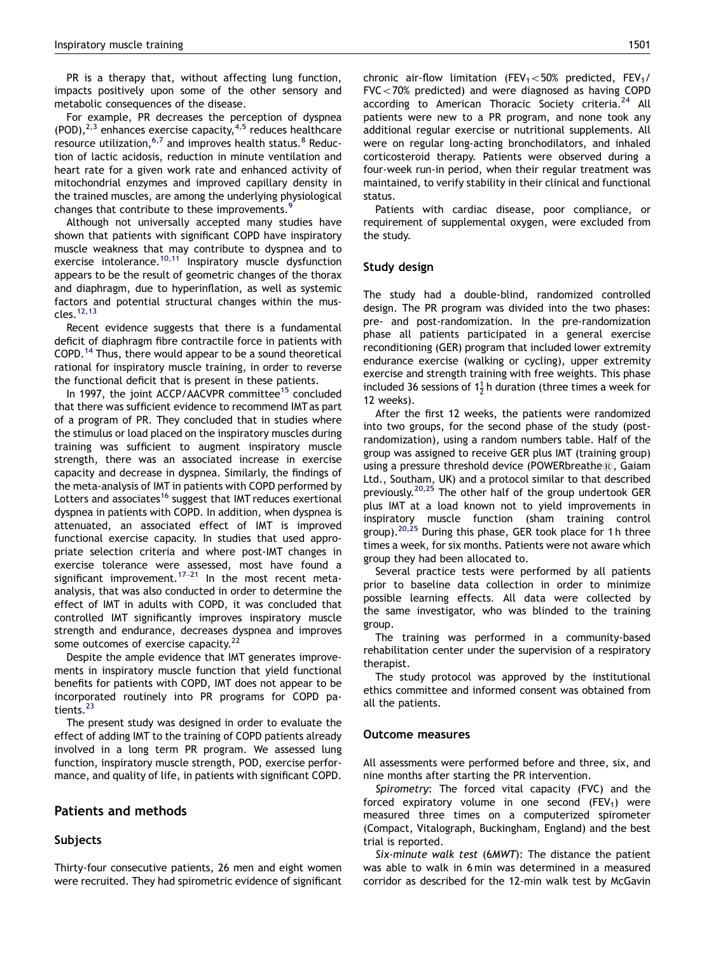PR is a therapy that, without affecting lung function, impacts positively upon some of the other sensory and metabolic consequences of the disease.

For example, PR decreases the perception of dyspnea  $(POD)$ ,<sup>[2,3](#page-4-0)</sup> enhances exercise capacity,<sup>[4,5](#page-5-0)</sup> reduces healthcare resource utilization,  $6,7$  and improves health status.  $8$  Reduction of lactic acidosis, reduction in minute ventilation and heart rate for a given work rate and enhanced activity of mitochondrial enzymes and improved capillary density in the trained muscles, are among the underlying physiological changes that contribute to these improvements.<sup>[9](#page-5-0)</sup>

Although not universally accepted many studies have shown that patients with significant COPD have inspiratory muscle weakness that may contribute to dyspnea and to exercise intolerance. $10,11$  Inspiratory muscle dysfunction appears to be the result of geometric changes of the thorax and diaphragm, due to hyperinflation, as well as systemic factors and potential structural changes within the muscles[.12,13](#page-5-0)

Recent evidence suggests that there is a fundamental deficit of diaphragm fibre contractile force in patients with COPD.[14](#page-5-0) Thus, there would appear to be a sound theoretical rational for inspiratory muscle training, in order to reverse the functional deficit that is present in these patients.

In 1997, the joint ACCP/AACVPR committee<sup>[15](#page-5-0)</sup> concluded that there was sufficient evidence to recommend IMT as part of a program of PR. They concluded that in studies where the stimulus or load placed on the inspiratory muscles during training was sufficient to augment inspiratory muscle strength, there was an associated increase in exercise capacity and decrease in dyspnea. Similarly, the findings of the meta-analysis of IMT in patients with COPD performed by Lotters and associates<sup>[16](#page-5-0)</sup> suggest that IMT reduces exertional dyspnea in patients with COPD. In addition, when dyspnea is attenuated, an associated effect of IMT is improved functional exercise capacity. In studies that used appropriate selection criteria and where post-IMT changes in exercise tolerance were assessed, most have found a significant improvement.<sup>[17](#page-5-0)–21</sup> In the most recent metaanalysis, that was also conducted in order to determine the effect of IMT in adults with COPD, it was concluded that controlled IMT significantly improves inspiratory muscle strength and endurance, decreases dyspnea and improves some outcomes of exercise capacity.<sup>[22](#page-5-0)</sup>

Despite the ample evidence that IMT generates improvements in inspiratory muscle function that yield functional benefits for patients with COPD, IMT does not appear to be incorporated routinely into PR programs for COPD pa-tients.<sup>[23](#page-5-0)</sup>

The present study was designed in order to evaluate the effect of adding IMT to the training of COPD patients already involved in a long term PR program. We assessed lung function, inspiratory muscle strength, POD, exercise performance, and quality of life, in patients with significant COPD.

# Patients and methods

# Subjects

Thirty-four consecutive patients, 26 men and eight women were recruited. They had spirometric evidence of significant chronic air-flow limitation (FEV<sub>1</sub> $<$ 50% predicted, FEV<sub>1</sub>/  $FVC < 70%$  predicted) and were diagnosed as having COPD according to American Thoracic Society criteria.<sup>[24](#page-5-0)</sup> All patients were new to a PR program, and none took any additional regular exercise or nutritional supplements. All were on regular long-acting bronchodilators, and inhaled corticosteroid therapy. Patients were observed during a four-week run-in period, when their regular treatment was maintained, to verify stability in their clinical and functional status.

Patients with cardiac disease, poor compliance, or requirement of supplemental oxygen, were excluded from the study.

## Study design

The study had a double-blind, randomized controlled design. The PR program was divided into the two phases: pre- and post-randomization. In the pre-randomization phase all patients participated in a general exercise reconditioning (GER) program that included lower extremity endurance exercise (walking or cycling), upper extremity exercise and strength training with free weights. This phase included 36 sessions of  $1\frac{1}{2}$  h duration (three times a week for 12 weeks).

After the first 12 weeks, the patients were randomized into two groups, for the second phase of the study (postrandomization), using a random numbers table. Half of the group was assigned to receive GER plus IMT (training group) using a pressure threshold device (POWERbreathe $\mathbb{R}$ , Gaiam Ltd., Southam, UK) and a protocol similar to that described previously.<sup>[20,25](#page-5-0)</sup> The other half of the group undertook GER plus IMT at a load known not to yield improvements in inspiratory muscle function (sham training control group).<sup>20,25</sup> During this phase, GER took place for 1h three times a week, for six months. Patients were not aware which group they had been allocated to.

Several practice tests were performed by all patients prior to baseline data collection in order to minimize possible learning effects. All data were collected by the same investigator, who was blinded to the training group.

The training was performed in a community-based rehabilitation center under the supervision of a respiratory therapist.

The study protocol was approved by the institutional ethics committee and informed consent was obtained from all the patients.

## Outcome measures

All assessments were performed before and three, six, and nine months after starting the PR intervention.

Spirometry: The forced vital capacity (FVC) and the forced expiratory volume in one second  $(FEV<sub>1</sub>)$  were measured three times on a computerized spirometer (Compact, Vitalograph, Buckingham, England) and the best trial is reported.

Six-minute walk test (6MWT): The distance the patient was able to walk in 6 min was determined in a measured corridor as described for the 12-min walk test by McGavin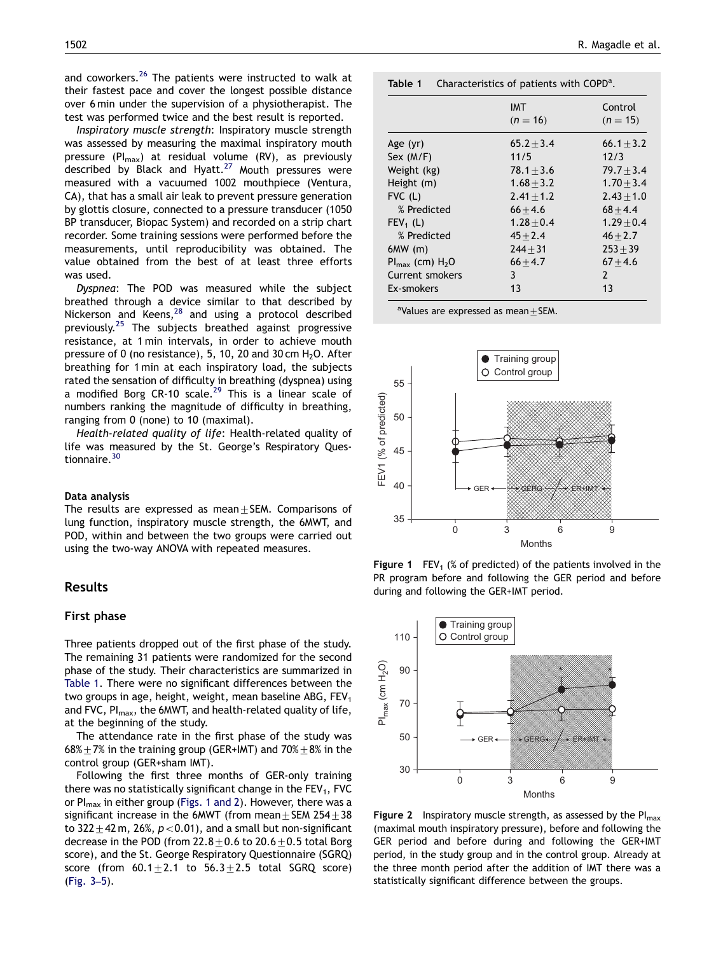<span id="page-2-0"></span>and coworkers.<sup>[26](#page-5-0)</sup> The patients were instructed to walk at their fastest pace and cover the longest possible distance over 6 min under the supervision of a physiotherapist. The test was performed twice and the best result is reported.

Inspiratory muscle strength: Inspiratory muscle strength was assessed by measuring the maximal inspiratory mouth pressure (PI<sub>max</sub>) at residual volume (RV), as previously described by Black and Hyatt.<sup>[27](#page-5-0)</sup> Mouth pressures were measured with a vacuumed 1002 mouthpiece (Ventura, CA), that has a small air leak to prevent pressure generation by glottis closure, connected to a pressure transducer (1050 BP transducer, Biopac System) and recorded on a strip chart recorder. Some training sessions were performed before the measurements, until reproducibility was obtained. The value obtained from the best of at least three efforts was used.

Dyspnea: The POD was measured while the subject breathed through a device similar to that described by Nickerson and Keens, $^{28}$  $^{28}$  $^{28}$  and using a protocol described previously.[25](#page-5-0) The subjects breathed against progressive resistance, at 1 min intervals, in order to achieve mouth pressure of 0 (no resistance), 5, 10, 20 and 30 cm  $H_2O$ . After breathing for 1 min at each inspiratory load, the subjects rated the sensation of difficulty in breathing (dyspnea) using a modified Borg CR-10 scale.<sup>[29](#page-5-0)</sup> This is a linear scale of numbers ranking the magnitude of difficulty in breathing, ranging from 0 (none) to 10 (maximal).

Health-related quality of life: Health-related quality of life was measured by the St. George's Respiratory Ques-tionnaire.<sup>[30](#page-5-0)</sup>

#### Data analysis

The results are expressed as mean $+$ SEM. Comparisons of lung function, inspiratory muscle strength, the 6MWT, and POD, within and between the two groups were carried out using the two-way ANOVA with repeated measures.

# Results

## First phase

Three patients dropped out of the first phase of the study. The remaining 31 patients were randomized for the second phase of the study. Their characteristics are summarized in Table 1. There were no significant differences between the two groups in age, height, weight, mean baseline ABG,  $FEV<sub>1</sub>$ and FVC, Pl<sub>max</sub>, the 6MWT, and health-related quality of life, at the beginning of the study.

The attendance rate in the first phase of the study was 68% $\pm$  7% in the training group (GER+IMT) and 70% $\pm$ 8% in the control group (GER+sham IMT).

Following the first three months of GER-only training there was no statistically significant change in the  $FEV<sub>1</sub>$ , FVC or  $PI_{\text{max}}$  in either group (Figs. 1 and 2). However, there was a significant increase in the 6MWT (from mean  $\pm$  SEM 254 $\pm$ 38 to 322 $\pm$ 42 m, 26%, p<0.01), and a small but non-significant decrease in the POD (from  $22.8\pm0.6$  to  $20.6\pm0.5$  total Borg score), and the St. George Respiratory Questionnaire (SGRQ) score (from  $60.1 \pm 2.1$  to  $56.3 \pm 2.5$  total SGRQ score) [\(Fig. 3](#page-3-0)–5).

| Characteristics of patients with $\text{COPD}^a$ . | Table 1 |  |  |  |
|----------------------------------------------------|---------|--|--|--|
|----------------------------------------------------|---------|--|--|--|

|                               | IMT<br>$(n = 16)$ | Control<br>$(n = 15)$ |
|-------------------------------|-------------------|-----------------------|
| Age $(yr)$                    | $65.2 + 3.4$      | $66.1 + 3.2$          |
| Sex $(M/F)$                   | 11/5              | 12/3                  |
| Weight (kg)                   | $78.1 \pm 3.6$    | $79.7 + 3.4$          |
| Height (m)                    | $1.68 + 3.2$      | $1.70 + 3.4$          |
| $FVC$ (L)                     | $2.41 + 1.2$      | $2.43 + 1.0$          |
| % Predicted                   | $66 + 4.6$        | $68 + 4.4$            |
| $FEV_1(L)$                    | $1.28 + 0.4$      | $1.29 + 0.4$          |
| % Predicted                   | $45 + 2.4$        | $46 + 2.7$            |
| 6MW(m)                        | $244 + 31$        | $253 + 39$            |
| $Pl_{\text{max}}$ (cm) $H_2O$ | $66 + 4.7$        | $67 + 4.6$            |
| Current smokers               | 3                 | $\mathcal{P}$         |
| Ex-smokers                    | 13                | 13                    |

<sup>a</sup>Values are expressed as mean $\pm$ SEM.



Figure 1  $FEV_1$  (% of predicted) of the patients involved in the PR program before and following the GER period and before during and following the GER+IMT period.



**Figure 2** Inspiratory muscle strength, as assessed by the  $PI_{max}$ (maximal mouth inspiratory pressure), before and following the GER period and before during and following the GER+IMT period, in the study group and in the control group. Already at the three month period after the addition of IMT there was a statistically significant difference between the groups.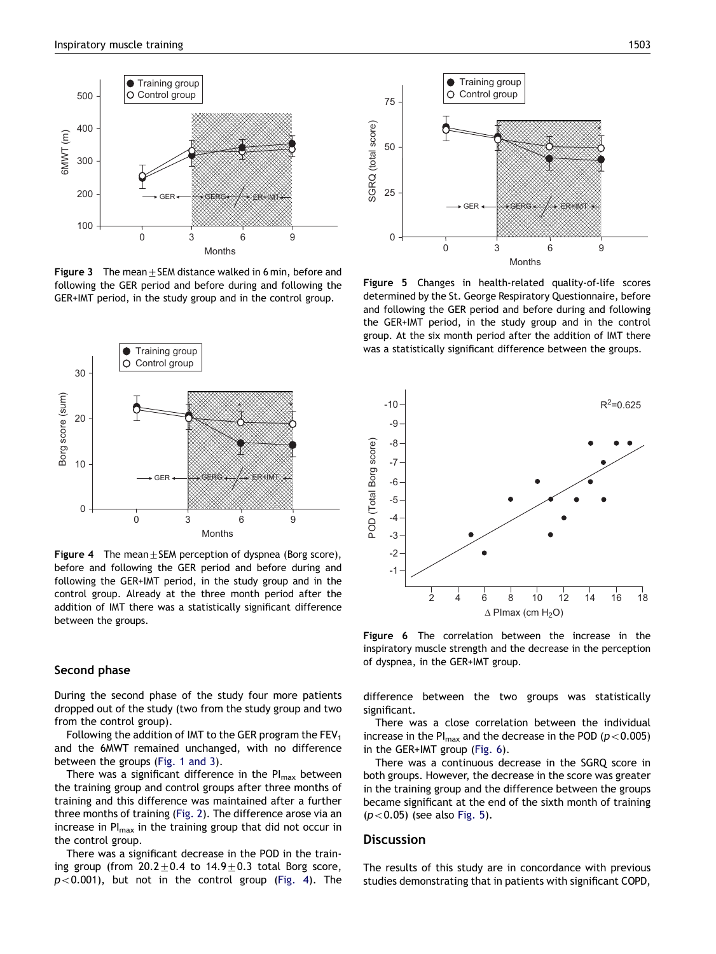<span id="page-3-0"></span>

**Figure 3** The mean + SEM distance walked in 6 min, before and following the GER period and before during and following the GER+IMT period, in the study group and in the control group.



**Figure 4** The mean  $\pm$  SEM perception of dyspnea (Borg score), before and following the GER period and before during and following the GER+IMT period, in the study group and in the control group. Already at the three month period after the addition of IMT there was a statistically significant difference between the groups.

## Second phase

During the second phase of the study four more patients dropped out of the study (two from the study group and two from the control group).

Following the addition of IMT to the GER program the  $FEV<sub>1</sub>$ and the 6MWT remained unchanged, with no difference between the groups [\(Fig. 1 and 3](#page-2-0)).

There was a significant difference in the  $PI_{max}$  between the training group and control groups after three months of training and this difference was maintained after a further three months of training ([Fig. 2\)](#page-2-0). The difference arose via an increase in  $PI<sub>max</sub>$  in the training group that did not occur in the control group.

There was a significant decrease in the POD in the training group (from  $20.2 \pm 0.4$  to  $14.9 \pm 0.3$  total Borg score,  $p < 0.001$ ), but not in the control group (Fig. 4). The



Figure 5 Changes in health-related quality-of-life scores determined by the St. George Respiratory Questionnaire, before and following the GER period and before during and following the GER+IMT period, in the study group and in the control group. At the six month period after the addition of IMT there was a statistically significant difference between the groups.



Figure 6 The correlation between the increase in the inspiratory muscle strength and the decrease in the perception of dyspnea, in the GER+IMT group.

difference between the two groups was statistically significant.

There was a close correlation between the individual increase in the PI $_{\text{max}}$  and the decrease in the POD ( $p$  < 0.005) in the GER+IMT group (Fig. 6).

There was a continuous decrease in the SGRQ score in both groups. However, the decrease in the score was greater in the training group and the difference between the groups became significant at the end of the sixth month of training  $(p<0.05)$  (see also Fig. 5).

# **Discussion**

The results of this study are in concordance with previous studies demonstrating that in patients with significant COPD,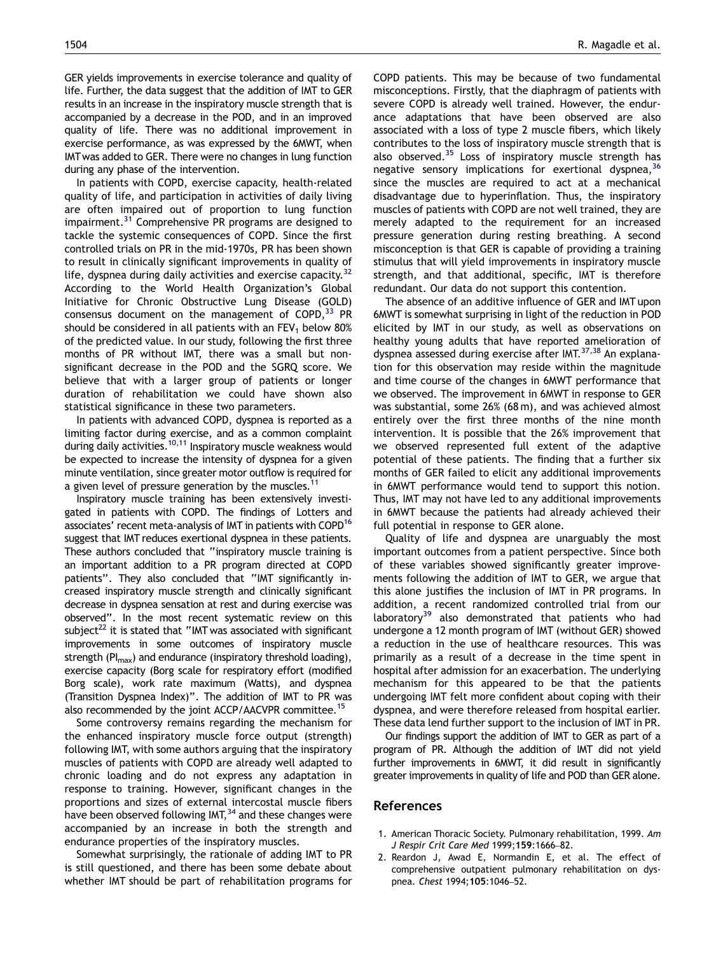<span id="page-4-0"></span>GER yields improvements in exercise tolerance and quality of life. Further, the data suggest that the addition of IMT to GER results in an increase in the inspiratory muscle strength that is accompanied by a decrease in the POD, and in an improved quality of life. There was no additional improvement in exercise performance, as was expressed by the 6MWT, when IMTwas added to GER. There were no changes in lung function during any phase of the intervention.

In patients with COPD, exercise capacity, health-related quality of life, and participation in activities of daily living are often impaired out of proportion to lung function impairment.<sup>[31](#page-5-0)</sup> Comprehensive PR programs are designed to tackle the systemic consequences of COPD. Since the first controlled trials on PR in the mid-1970s, PR has been shown to result in clinically significant improvements in quality of life, dyspnea during daily activities and exercise capacity.<sup>[32](#page-5-0)</sup> According to the World Health Organization's Global Initiative for Chronic Obstructive Lung Disease (GOLD) consensus document on the management of  $COPD<sup>33</sup>$  $COPD<sup>33</sup>$  $COPD<sup>33</sup>$  PR should be considered in all patients with an  $FEV<sub>1</sub>$  below 80% of the predicted value. In our study, following the first three months of PR without IMT, there was a small but nonsignificant decrease in the POD and the SGRQ score. We believe that with a larger group of patients or longer duration of rehabilitation we could have shown also statistical significance in these two parameters.

In patients with advanced COPD, dyspnea is reported as a limiting factor during exercise, and as a common complaint during daily activities.<sup>[10,11](#page-5-0)</sup> Inspiratory muscle weakness would be expected to increase the intensity of dyspnea for a given minute ventilation, since greater motor outflow is required for a given level of pressure generation by the muscles.<sup>11</sup>

Inspiratory muscle training has been extensively investigated in patients with COPD. The findings of Lotters and associates' recent meta-analysis of IMT in patients with COPD<sup>16</sup> suggest that IMT reduces exertional dyspnea in these patients. These authors concluded that ''inspiratory muscle training is an important addition to a PR program directed at COPD patients''. They also concluded that ''IMT significantly increased inspiratory muscle strength and clinically significant decrease in dyspnea sensation at rest and during exercise was observed''. In the most recent systematic review on this subject $^{22}$  it is stated that "IMT was associated with significant improvements in some outcomes of inspiratory muscle strength ( $PI<sub>max</sub>$ ) and endurance (inspiratory threshold loading), exercise capacity (Borg scale for respiratory effort (modified Borg scale), work rate maximum (Watts), and dyspnea (Transition Dyspnea Index)''. The addition of IMT to PR was also recommended by the joint ACCP/AACVPR committee.<sup>15</sup>

Some controversy remains regarding the mechanism for the enhanced inspiratory muscle force output (strength) following IMT, with some authors arguing that the inspiratory muscles of patients with COPD are already well adapted to chronic loading and do not express any adaptation in response to training. However, significant changes in the proportions and sizes of external intercostal muscle fibers have been observed following IMT, $34$  and these changes were accompanied by an increase in both the strength and endurance properties of the inspiratory muscles.

Somewhat surprisingly, the rationale of adding IMT to PR is still questioned, and there has been some debate about whether IMT should be part of rehabilitation programs for COPD patients. This may be because of two fundamental misconceptions. Firstly, that the diaphragm of patients with severe COPD is already well trained. However, the endurance adaptations that have been observed are also associated with a loss of type 2 muscle fibers, which likely contributes to the loss of inspiratory muscle strength that is also observed.<sup>[35](#page-5-0)</sup> Loss of inspiratory muscle strength has negative sensory implications for exertional dyspnea,<sup>[36](#page-5-0)</sup> since the muscles are required to act at a mechanical disadvantage due to hyperinflation. Thus, the inspiratory muscles of patients with COPD are not well trained, they are merely adapted to the requirement for an increased pressure generation during resting breathing. A second misconception is that GER is capable of providing a training stimulus that will yield improvements in inspiratory muscle strength, and that additional, specific, IMT is therefore redundant. Our data do not support this contention.

The absence of an additive influence of GER and IMT upon 6MWT is somewhat surprising in light of the reduction in POD elicited by IMT in our study, as well as observations on healthy young adults that have reported amelioration of dyspnea assessed during exercise after IMT.<sup>[37,38](#page-5-0)</sup> An explanation for this observation may reside within the magnitude and time course of the changes in 6MWT performance that we observed. The improvement in 6MWT in response to GER was substantial, some 26% (68 m), and was achieved almost entirely over the first three months of the nine month intervention. It is possible that the 26% improvement that we observed represented full extent of the adaptive potential of these patients. The finding that a further six months of GER failed to elicit any additional improvements in 6MWT performance would tend to support this notion. Thus, IMT may not have led to any additional improvements in 6MWT because the patients had already achieved their full potential in response to GER alone.

Quality of life and dyspnea are unarguably the most important outcomes from a patient perspective. Since both of these variables showed significantly greater improvements following the addition of IMT to GER, we argue that this alone justifies the inclusion of IMT in PR programs. In addition, a recent randomized controlled trial from our laboratory<sup>[39](#page-5-0)</sup> also demonstrated that patients who had undergone a 12 month program of IMT (without GER) showed a reduction in the use of healthcare resources. This was primarily as a result of a decrease in the time spent in hospital after admission for an exacerbation. The underlying mechanism for this appeared to be that the patients undergoing IMT felt more confident about coping with their dyspnea, and were therefore released from hospital earlier. These data lend further support to the inclusion of IMT in PR.

Our findings support the addition of IMT to GER as part of a program of PR. Although the addition of IMT did not yield further improvements in 6MWT, it did result in significantly greater improvements in quality of life and POD than GER alone.

# References

- 1. American Thoracic Society. Pulmonary rehabilitation, 1999. Am J Respir Crit Care Med 1999;159:1666–82.
- 2. Reardon J, Awad E, Normandin E, et al. The effect of comprehensive outpatient pulmonary rehabilitation on dyspnea. Chest 1994;105:1046–52.